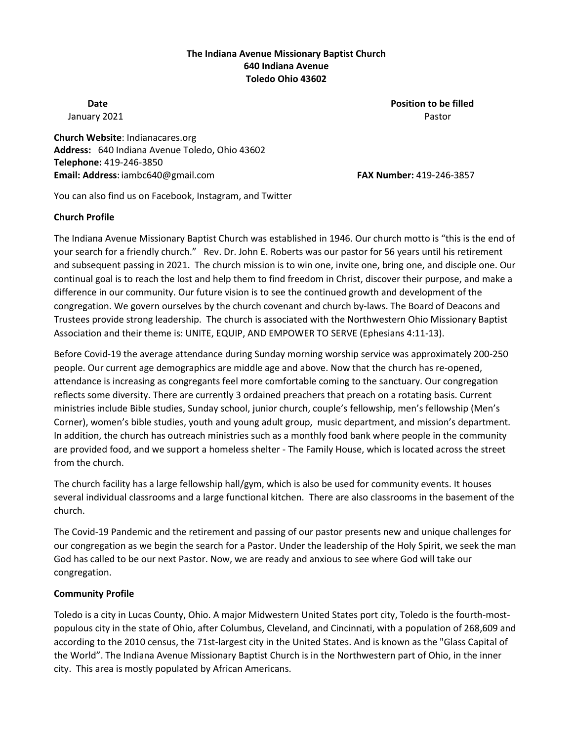### **The Indiana Avenue Missionary Baptist Church 640 Indiana Avenue Toledo Ohio 43602**

**Date Position to be filled Position to be filled** January 2021 **Pastor** Pastor **Pastor** Pastor **Pastor** Pastor **Pastor** Pastor **Pastor** 

**Church Website**: Indianacares.org **Address:** 640 Indiana Avenue Toledo, Ohio 43602 **Telephone:** 419-246-3850 **Email: Address**: iambc640@gmail.com **FAX Number:** 419-246-3857

You can also find us on Facebook, Instagram, and Twitter

#### **Church Profile**

The Indiana Avenue Missionary Baptist Church was established in 1946. Our church motto is "this is the end of your search for a friendly church." Rev. Dr. John E. Roberts was our pastor for 56 years until his retirement and subsequent passing in 2021. The church mission is to win one, invite one, bring one, and disciple one. Our continual goal is to reach the lost and help them to find freedom in Christ, discover their purpose, and make a difference in our community. Our future vision is to see the continued growth and development of the congregation. We govern ourselves by the church covenant and church by-laws. The Board of Deacons and Trustees provide strong leadership. The church is associated with the Northwestern Ohio Missionary Baptist Association and their theme is: UNITE, EQUIP, AND EMPOWER TO SERVE (Ephesians 4:11-13).

Before Covid-19 the average attendance during Sunday morning worship service was approximately 200-250 people. Our current age demographics are middle age and above. Now that the church has re-opened, attendance is increasing as congregants feel more comfortable coming to the sanctuary. Our congregation reflects some diversity. There are currently 3 ordained preachers that preach on a rotating basis. Current ministries include Bible studies, Sunday school, junior church, couple's fellowship, men's fellowship (Men's Corner), women's bible studies, youth and young adult group, music department, and mission's department. In addition, the church has outreach ministries such as a monthly food bank where people in the community are provided food, and we support a homeless shelter - The Family House, which is located across the street from the church.

The church facility has a large fellowship hall/gym, which is also be used for community events. It houses several individual classrooms and a large functional kitchen. There are also classrooms in the basement of the church.

The Covid-19 Pandemic and the retirement and passing of our pastor presents new and unique challenges for our congregation as we begin the search for a Pastor. Under the leadership of the Holy Spirit, we seek the man God has called to be our next Pastor. Now, we are ready and anxious to see where God will take our congregation.

### **Community Profile**

Toledo is a city in Lucas County, Ohio. A major Midwestern United States port city, Toledo is the fourth-mostpopulous city in the state of Ohio, after Columbus, Cleveland, and Cincinnati, with a population of 268,609 and according to the 2010 census, the 71st-largest city in the United States. And is known as the "Glass Capital of the World". The Indiana Avenue Missionary Baptist Church is in the Northwestern part of Ohio, in the inner city. This area is mostly populated by African Americans.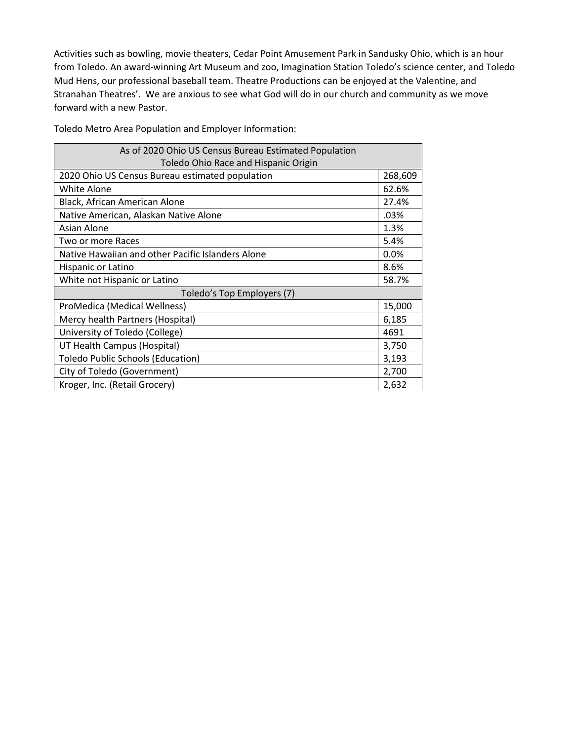Activities such as bowling, movie theaters, Cedar Point Amusement Park in Sandusky Ohio, which is an hour from Toledo. An award-winning Art Museum and zoo, Imagination Station Toledo's science center, and Toledo Mud Hens, our professional baseball team. Theatre Productions can be enjoyed at the Valentine, and Stranahan Theatres'. We are anxious to see what God will do in our church and community as we move forward with a new Pastor.

Toledo Metro Area Population and Employer Information:

| As of 2020 Ohio US Census Bureau Estimated Population |         |
|-------------------------------------------------------|---------|
| Toledo Ohio Race and Hispanic Origin                  |         |
| 2020 Ohio US Census Bureau estimated population       | 268,609 |
| White Alone                                           | 62.6%   |
| Black, African American Alone                         | 27.4%   |
| Native American, Alaskan Native Alone                 | .03%    |
| Asian Alone                                           | 1.3%    |
| Two or more Races                                     | 5.4%    |
| Native Hawaiian and other Pacific Islanders Alone     | 0.0%    |
| Hispanic or Latino                                    | 8.6%    |
| White not Hispanic or Latino                          | 58.7%   |
| Toledo's Top Employers (7)                            |         |
| ProMedica (Medical Wellness)                          | 15,000  |
| Mercy health Partners (Hospital)                      | 6,185   |
| University of Toledo (College)                        | 4691    |
| UT Health Campus (Hospital)                           | 3,750   |
| <b>Toledo Public Schools (Education)</b>              | 3,193   |
| City of Toledo (Government)                           | 2,700   |
| Kroger, Inc. (Retail Grocery)                         | 2,632   |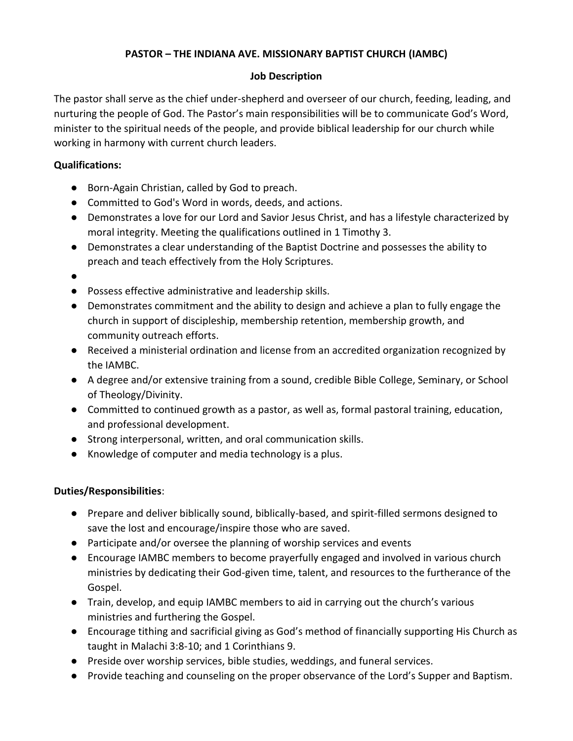## **PASTOR – THE INDIANA AVE. MISSIONARY BAPTIST CHURCH (IAMBC)**

### **Job Description**

The pastor shall serve as the chief under-shepherd and overseer of our church, feeding, leading, and nurturing the people of God. The Pastor's main responsibilities will be to communicate God's Word, minister to the spiritual needs of the people, and provide biblical leadership for our church while working in harmony with current church leaders.

## **Qualifications:**

- Born-Again Christian, called by God to preach.
- Committed to God's Word in words, deeds, and actions.
- Demonstrates a love for our Lord and Savior Jesus Christ, and has a lifestyle characterized by moral integrity. Meeting the qualifications outlined in 1 Timothy 3.
- Demonstrates a clear understanding of the Baptist Doctrine and possesses the ability to preach and teach effectively from the Holy Scriptures.
- ●
- Possess effective administrative and leadership skills.
- Demonstrates commitment and the ability to design and achieve a plan to fully engage the church in support of discipleship, membership retention, membership growth, and community outreach efforts.
- Received a ministerial ordination and license from an accredited organization recognized by the IAMBC.
- A degree and/or extensive training from a sound, credible Bible College, Seminary, or School of Theology/Divinity.
- Committed to continued growth as a pastor, as well as, formal pastoral training, education, and professional development.
- Strong interpersonal, written, and oral communication skills.
- Knowledge of computer and media technology is a plus.

# **Duties/Responsibilities**:

- Prepare and deliver biblically sound, biblically-based, and spirit-filled sermons designed to save the lost and encourage/inspire those who are saved.
- Participate and/or oversee the planning of worship services and events
- Encourage IAMBC members to become prayerfully engaged and involved in various church ministries by dedicating their God-given time, talent, and resources to the furtherance of the Gospel.
- Train, develop, and equip IAMBC members to aid in carrying out the church's various ministries and furthering the Gospel.
- Encourage tithing and sacrificial giving as God's method of financially supporting His Church as taught in Malachi 3:8-10; and 1 Corinthians 9.
- Preside over worship services, bible studies, weddings, and funeral services.
- Provide teaching and counseling on the proper observance of the Lord's Supper and Baptism.